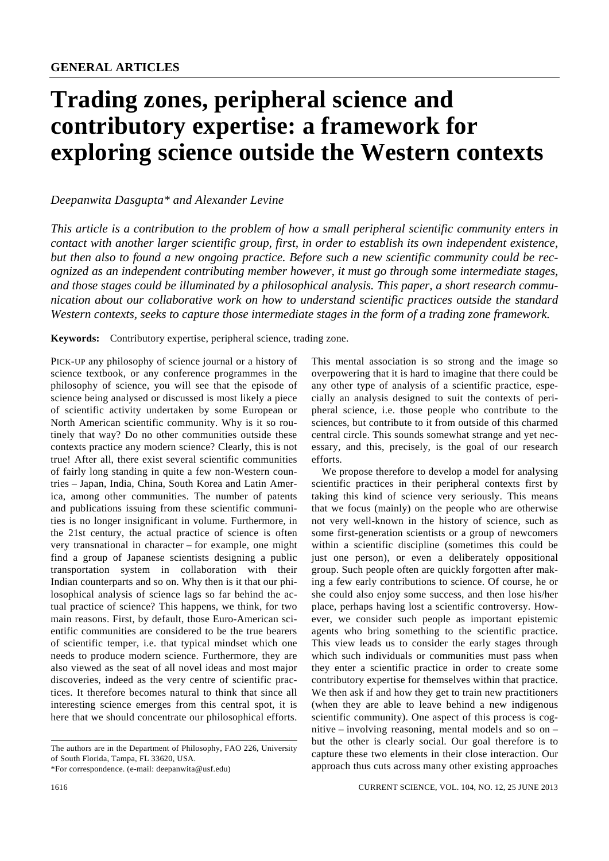## **Trading zones, peripheral science and contributory expertise: a framework for exploring science outside the Western contexts**

## *Deepanwita Dasgupta\* and Alexander Levine*

*This article is a contribution to the problem of how a small peripheral scientific community enters in contact with another larger scientific group, first, in order to establish its own independent existence, but then also to found a new ongoing practice. Before such a new scientific community could be recognized as an independent contributing member however, it must go through some intermediate stages, and those stages could be illuminated by a philosophical analysis. This paper, a short research communication about our collaborative work on how to understand scientific practices outside the standard Western contexts, seeks to capture those intermediate stages in the form of a trading zone framework.* 

**Keywords:** Contributory expertise, peripheral science, trading zone.

PICK-UP any philosophy of science journal or a history of science textbook, or any conference programmes in the philosophy of science, you will see that the episode of science being analysed or discussed is most likely a piece of scientific activity undertaken by some European or North American scientific community. Why is it so routinely that way? Do no other communities outside these contexts practice any modern science? Clearly, this is not true! After all, there exist several scientific communities of fairly long standing in quite a few non-Western countries – Japan, India, China, South Korea and Latin America, among other communities. The number of patents and publications issuing from these scientific communities is no longer insignificant in volume. Furthermore, in the 21st century, the actual practice of science is often very transnational in character – for example, one might find a group of Japanese scientists designing a public transportation system in collaboration with their Indian counterparts and so on. Why then is it that our philosophical analysis of science lags so far behind the actual practice of science? This happens, we think, for two main reasons. First, by default, those Euro-American scientific communities are considered to be the true bearers of scientific temper, i.e. that typical mindset which one needs to produce modern science. Furthermore, they are also viewed as the seat of all novel ideas and most major discoveries, indeed as the very centre of scientific practices. It therefore becomes natural to think that since all interesting science emerges from this central spot, it is here that we should concentrate our philosophical efforts.

This mental association is so strong and the image so overpowering that it is hard to imagine that there could be any other type of analysis of a scientific practice, especially an analysis designed to suit the contexts of peripheral science, i.e. those people who contribute to the sciences, but contribute to it from outside of this charmed central circle. This sounds somewhat strange and yet necessary, and this, precisely, is the goal of our research efforts.

 We propose therefore to develop a model for analysing scientific practices in their peripheral contexts first by taking this kind of science very seriously. This means that we focus (mainly) on the people who are otherwise not very well-known in the history of science, such as some first-generation scientists or a group of newcomers within a scientific discipline (sometimes this could be just one person), or even a deliberately oppositional group. Such people often are quickly forgotten after making a few early contributions to science. Of course, he or she could also enjoy some success, and then lose his/her place, perhaps having lost a scientific controversy. However, we consider such people as important epistemic agents who bring something to the scientific practice. This view leads us to consider the early stages through which such individuals or communities must pass when they enter a scientific practice in order to create some contributory expertise for themselves within that practice. We then ask if and how they get to train new practitioners (when they are able to leave behind a new indigenous scientific community). One aspect of this process is cognitive – involving reasoning, mental models and so on – but the other is clearly social. Our goal therefore is to capture these two elements in their close interaction. Our approach thus cuts across many other existing approaches

The authors are in the Department of Philosophy, FAO 226, University of South Florida, Tampa, FL 33620, USA.

<sup>\*</sup>For correspondence. (e-mail: deepanwita@usf.edu)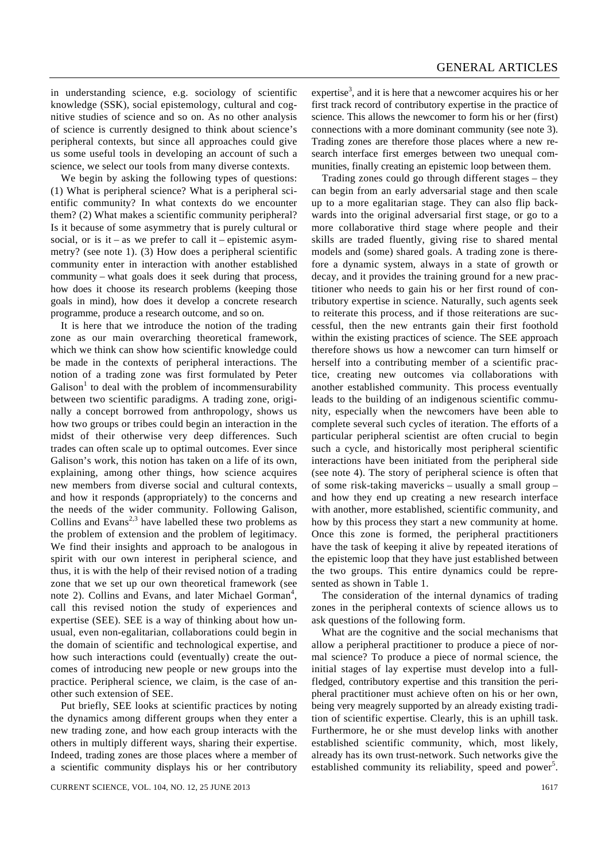in understanding science, e.g. sociology of scientific knowledge (SSK), social epistemology, cultural and cognitive studies of science and so on. As no other analysis of science is currently designed to think about science's peripheral contexts, but since all approaches could give us some useful tools in developing an account of such a science, we select our tools from many diverse contexts.

 We begin by asking the following types of questions: (1) What is peripheral science? What is a peripheral scientific community? In what contexts do we encounter them? (2) What makes a scientific community peripheral? Is it because of some asymmetry that is purely cultural or social, or is it – as we prefer to call it – epistemic asymmetry? (see note 1). (3) How does a peripheral scientific community enter in interaction with another established community – what goals does it seek during that process, how does it choose its research problems (keeping those goals in mind), how does it develop a concrete research programme, produce a research outcome, and so on.

 It is here that we introduce the notion of the trading zone as our main overarching theoretical framework, which we think can show how scientific knowledge could be made in the contexts of peripheral interactions. The notion of a trading zone was first formulated by Peter Galison<sup>1</sup> to deal with the problem of incommensurability between two scientific paradigms. A trading zone, originally a concept borrowed from anthropology, shows us how two groups or tribes could begin an interaction in the midst of their otherwise very deep differences. Such trades can often scale up to optimal outcomes. Ever since Galison's work, this notion has taken on a life of its own, explaining, among other things, how science acquires new members from diverse social and cultural contexts, and how it responds (appropriately) to the concerns and the needs of the wider community. Following Galison, Collins and Evans<sup>2,3</sup> have labelled these two problems as the problem of extension and the problem of legitimacy. We find their insights and approach to be analogous in spirit with our own interest in peripheral science, and thus, it is with the help of their revised notion of a trading zone that we set up our own theoretical framework (see note 2). Collins and Evans, and later Michael Gorman<sup>4</sup>, call this revised notion the study of experiences and expertise (SEE). SEE is a way of thinking about how unusual, even non-egalitarian, collaborations could begin in the domain of scientific and technological expertise, and how such interactions could (eventually) create the outcomes of introducing new people or new groups into the practice. Peripheral science, we claim, is the case of another such extension of SEE.

 Put briefly, SEE looks at scientific practices by noting the dynamics among different groups when they enter a new trading zone, and how each group interacts with the others in multiply different ways, sharing their expertise. Indeed, trading zones are those places where a member of a scientific community displays his or her contributory

expertise<sup>3</sup>, and it is here that a newcomer acquires his or her first track record of contributory expertise in the practice of science. This allows the newcomer to form his or her (first) connections with a more dominant community (see note 3). Trading zones are therefore those places where a new research interface first emerges between two unequal communities, finally creating an epistemic loop between them.

 Trading zones could go through different stages – they can begin from an early adversarial stage and then scale up to a more egalitarian stage. They can also flip backwards into the original adversarial first stage, or go to a more collaborative third stage where people and their skills are traded fluently, giving rise to shared mental models and (some) shared goals. A trading zone is therefore a dynamic system, always in a state of growth or decay, and it provides the training ground for a new practitioner who needs to gain his or her first round of contributory expertise in science. Naturally, such agents seek to reiterate this process, and if those reiterations are successful, then the new entrants gain their first foothold within the existing practices of science. The SEE approach therefore shows us how a newcomer can turn himself or herself into a contributing member of a scientific practice, creating new outcomes via collaborations with another established community. This process eventually leads to the building of an indigenous scientific community, especially when the newcomers have been able to complete several such cycles of iteration. The efforts of a particular peripheral scientist are often crucial to begin such a cycle, and historically most peripheral scientific interactions have been initiated from the peripheral side (see note 4). The story of peripheral science is often that of some risk-taking mavericks – usually a small group – and how they end up creating a new research interface with another, more established, scientific community, and how by this process they start a new community at home. Once this zone is formed, the peripheral practitioners have the task of keeping it alive by repeated iterations of the epistemic loop that they have just established between the two groups. This entire dynamics could be represented as shown in Table 1.

 The consideration of the internal dynamics of trading zones in the peripheral contexts of science allows us to ask questions of the following form.

 What are the cognitive and the social mechanisms that allow a peripheral practitioner to produce a piece of normal science? To produce a piece of normal science, the initial stages of lay expertise must develop into a fullfledged, contributory expertise and this transition the peripheral practitioner must achieve often on his or her own, being very meagrely supported by an already existing tradition of scientific expertise. Clearly, this is an uphill task. Furthermore, he or she must develop links with another established scientific community, which, most likely, already has its own trust-network. Such networks give the established community its reliability, speed and power<sup>5</sup>.